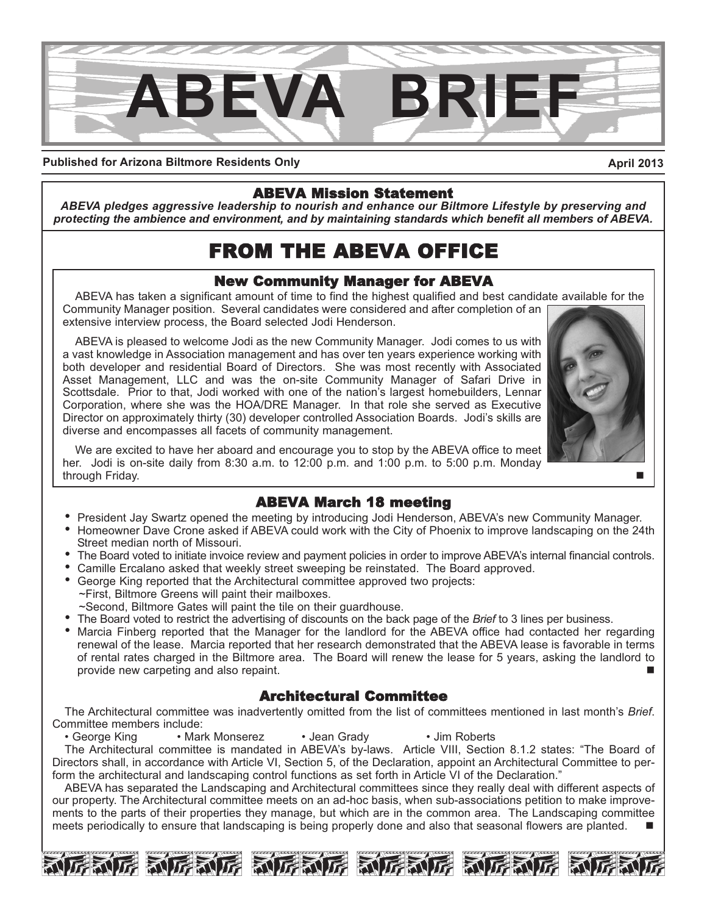

#### **Published for Arizona Biltmore Residents Only**

**April 2013**

#### ABEVA Mission Statement

*ABEVA pledges aggressive leadership to nourish and enhance our Biltmore Lifestyle by preserving and protecting the ambience and environment, and by maintaining standards which benefit all members of ABEVA.*

# FROM THE ABEVA OFFICE

### New Community Manager for ABEVA

ABEVA has taken a significant amount of time to find the highest qualified and best candidate available for the Community Manager position. Several candidates were considered and after completion of an extensive interview process, the Board selected Jodi Henderson.

ABEVA is pleased to welcome Jodi as the new Community Manager. Jodi comes to us with a vast knowledge in Association management and has over ten years experience working with both developer and residential Board of Directors. She was most recently with Associated Asset Management, LLC and was the on-site Community Manager of Safari Drive in Scottsdale. Prior to that, Jodi worked with one of the nation's largest homebuilders, Lennar Corporation, where she was the HOA/DRE Manager. In that role she served as Executive Director on approximately thirty (30) developer controlled Association Boards. Jodi's skills are diverse and encompasses all facets of community management.

We are excited to have her aboard and encourage you to stop by the ABEVA office to meet her. Jodi is on-site daily from 8:30 a.m. to 12:00 p.m. and 1:00 p.m. to 5:00 p.m. Monday through Friday.

#### ABEVA March 18 meeting

- President Jay Swartz opened the meeting by introducing Jodi Henderson, ABEVA's new Community Manager.
- Homeowner Dave Crone asked if ABEVA could work with the City of Phoenix to improve landscaping on the 24th Street median north of Missouri.
- The Board voted to initiate invoice review and payment policies in order to improve ABEVA's internal financial controls.
- Camille Ercalano asked that weekly street sweeping be reinstated. The Board approved.
- George King reported that the Architectural committee approved two projects: ~First, Biltmore Greens will paint their mailboxes.
- ~Second, Biltmore Gates will paint the tile on their guardhouse.
- The Board voted to restrict the advertising of discounts on the back page of the *Brief* to 3 lines per business.
- Marcia Finberg reported that the Manager for the landlord for the ABEVA office had contacted her regarding renewal of the lease. Marcia reported that her research demonstrated that the ABEVA lease is favorable in terms of rental rates charged in the Biltmore area. The Board will renew the lease for 5 years, asking the landlord to provide new carpeting and also repaint.

### Architectural Committee

The Architectural committee was inadvertently omitted from the list of committees mentioned in last month's *Brief*. Committee members include:<br>
• George King<br>
• Mar

• Mark Monserez • Jean Grady • Jim Roberts The Architectural committee is mandated in ABEVA's by-laws. Article VIII, Section 8.1.2 states: "The Board of Directors shall, in accordance with Article VI, Section 5, of the Declaration, appoint an Architectural Committee to perform the architectural and landscaping control functions as set forth in Article VI of the Declaration."

ABEVA has separated the Landscaping and Architectural committees since they really deal with different aspects of our property. The Architectural committee meets on an ad-hoc basis, when sub-associations petition to make improvements to the parts of their properties they manage, but which are in the common area. The Landscaping committee meets periodically to ensure that landscaping is being properly done and also that seasonal flowers are planted.





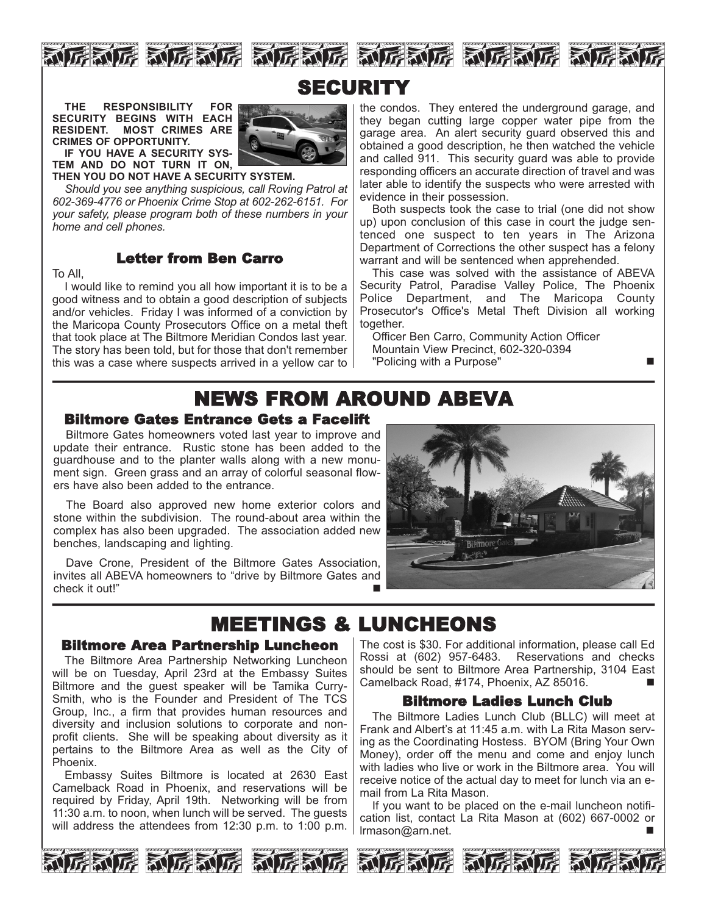









**THE RESPONSIBILITY FOR SECURITY BEGINS WITH EACH RESIDENT. MOST CRIMES ARE CRIMES OF OPPORTUNITY.** 

**IF YOU HAVE A SECURITY SYS-TEM AND DO NOT TURN IT ON,**

**THEN YOU DO NOT HAVE A SECURITY SYSTEM.**

*Should you see anything suspicious, call Roving Patrol at 602-369-4776 or Phoenix Crime Stop at 602-262-6151. For your safety, please program both of these numbers in your home and cell phones.* 

#### Letter from Ben Carro

To All,

I would like to remind you all how important it is to be a good witness and to obtain a good description of subjects and/or vehicles. Friday I was informed of a conviction by the Maricopa County Prosecutors Office on a metal theft that took place at The Biltmore Meridian Condos last year. The story has been told, but for those that don't remember this was a case where suspects arrived in a yellow car to

the condos. They entered the underground garage, and they began cutting large copper water pipe from the garage area. An alert security guard observed this and obtained a good description, he then watched the vehicle and called 911. This security guard was able to provide responding officers an accurate direction of travel and was later able to identify the suspects who were arrested with evidence in their possession.

Both suspects took the case to trial (one did not show up) upon conclusion of this case in court the judge sentenced one suspect to ten years in The Arizona Department of Corrections the other suspect has a felony warrant and will be sentenced when apprehended.

This case was solved with the assistance of ABEVA Security Patrol, Paradise Valley Police, The Phoenix Police Department, and The Maricopa County Prosecutor's Office's Metal Theft Division all working together.

Officer Ben Carro, Community Action Officer Mountain View Precinct, 602-320-0394 "Policing with a Purpose"

# NEWS FROM AROUND ABEVA

#### Biltmore Gates Entrance Gets a Facelift

Biltmore Gates homeowners voted last year to improve and update their entrance. Rustic stone has been added to the guardhouse and to the planter walls along with a new monument sign. Green grass and an array of colorful seasonal flowers have also been added to the entrance.

The Board also approved new home exterior colors and stone within the subdivision. The round-about area within the complex has also been upgraded. The association added new benches, landscaping and lighting.

Dave Crone, President of the Biltmore Gates Association, invites all ABEVA homeowners to "drive by Biltmore Gates and check it out!"



# MEETINGS & LUNCHEONS

#### Biltmore Area Partnership Luncheon

The Biltmore Area Partnership Networking Luncheon will be on Tuesday, April 23rd at the Embassy Suites Biltmore and the guest speaker will be Tamika Curry-Smith, who is the Founder and President of The TCS Group, Inc., a firm that provides human resources and diversity and inclusion solutions to corporate and nonprofit clients. She will be speaking about diversity as it pertains to the Biltmore Area as well as the City of Phoenix.

Embassy Suites Biltmore is located at 2630 East Camelback Road in Phoenix, and reservations will be required by Friday, April 19th. Networking will be from 11:30 a.m. to noon, when lunch will be served. The guests will address the attendees from 12:30 p.m. to 1:00 p.m.

The cost is \$30. For additional information, please call Ed Rossi at (602) 957-6483. Reservations and checks should be sent to Biltmore Area Partnership, 3104 East Camelback Road, #174, Phoenix, AZ 85016.

#### Biltmore Ladies Lunch Club

The Biltmore Ladies Lunch Club (BLLC) will meet at Frank and Albert's at 11:45 a.m. with La Rita Mason serving as the Coordinating Hostess. BYOM (Bring Your Own Money), order off the menu and come and enjoy lunch with ladies who live or work in the Biltmore area. You will receive notice of the actual day to meet for lunch via an email from La Rita Mason.

If you want to be placed on the e-mail luncheon notification list, contact La Rita Mason at (602) 667-0002 or lrmason@arn.net.

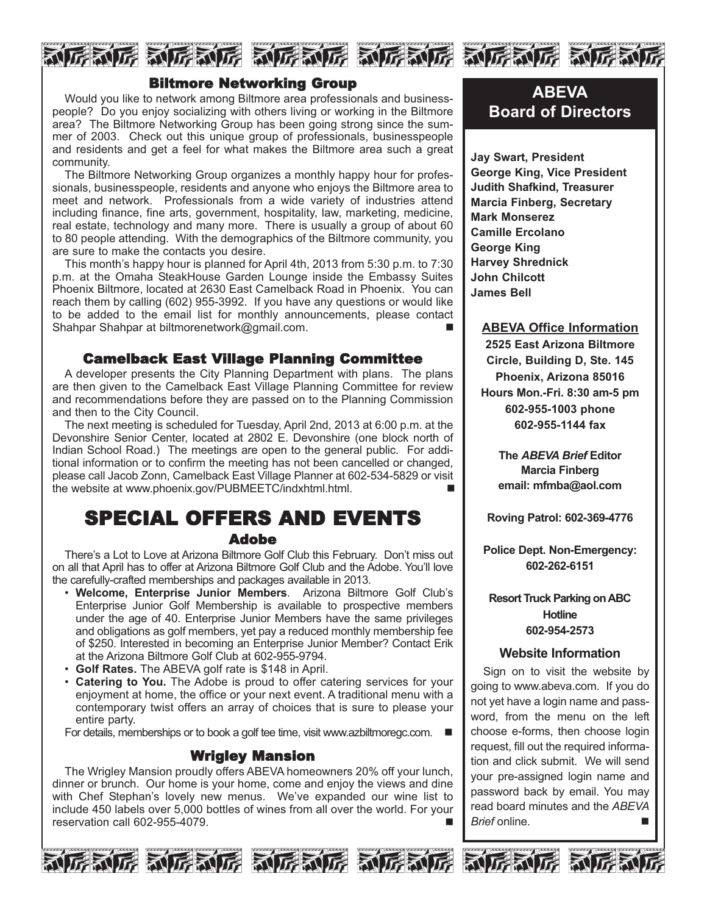



Would you like to network among Biltmore area professionals and businesspeople? Do you enjoy socializing with others living or working in the Biltmore area? The Biltmore Networking Group has been going strong since the summer of 2003. Check out this unique group of professionals, businesspeople and residents and get a feel for what makes the Biltmore area such a great community.

The Biltmore Networking Group organizes a monthly happy hour for professionals, businesspeople, residents and anyone who enjoys the Biltmore area to meet and network. Professionals from a wide variety of industries attend including finance, fine arts, government, hospitality, law, marketing, medicine, real estate, technology and many more. There is usually a group of about 60 to 80 people attending. With the demographics of the Biltmore community, you are sure to make the contacts you desire.

This month's happy hour is planned for April 4th, 2013 from 5:30 p.m. to 7:30 p.m. at the Omaha SteakHouse Garden Lounge inside the Embassy Suites Phoenix Biltmore, located at 2630 East Camelback Road in Phoenix. You can reach them by calling (602) 955-3992. If you have any questions or would like to be added to the email list for monthly announcements, please contact Shahpar Shahpar at biltmorenetwork@gmail.com.

#### Camelback East Village Planning Committee

A developer presents the City Planning Department with plans. The plans are then given to the Camelback East Village Planning Committee for review and recommendations before they are passed on to the Planning Commission and then to the City Council.

The next meeting is scheduled for Tuesday, April 2nd, 2013 at 6:00 p.m. at the Devonshire Senior Center, located at 2802 E. Devonshire (one block north of Indian School Road.) The meetings are open to the general public. For additional information or to confirm the meeting has not been cancelled or changed, please call Jacob Zonn, Camelback East Village Planner at 602-534-5829 or visit the website at www.phoenix.gov/PUBMEETC/indxhtml.html.

## SPECIAL OFFERS AND EVENTS Adobe

There's a Lot to Love at Arizona Biltmore Golf Club this February. Don't miss out on all that April has to offer at Arizona Biltmore Golf Club and the Adobe. You'll love the carefully-crafted memberships and packages available in 2013.

- **Welcome, Enterprise Junior Members**. Arizona Biltmore Golf Club's Enterprise Junior Golf Membership is available to prospective members under the age of 40. Enterprise Junior Members have the same privileges and obligations as golf members, yet pay a reduced monthly membership fee of \$250. Interested in becoming an Enterprise Junior Member? Contact Erik at the Arizona Biltmore Golf Club at 602-955-9794.
- **Golf Rates.** The ABEVA golf rate is \$148 in April.
- **Catering to You.** The Adobe is proud to offer catering services for your enjoyment at home, the office or your next event. A traditional menu with a contemporary twist offers an array of choices that is sure to please your entire party.

For details, memberships or to book a golf tee time, visit www.azbiltmoregc.com.  $\blacksquare$ 

#### Wrigley Mansion

The Wrigley Mansion proudly offers ABEVA homeowners 20% off your lunch, dinner or brunch. Our home is your home, come and enjoy the views and dine with Chef Stephan's lovely new menus. We've expanded our wine list to include 450 labels over 5,000 bottles of wines from all over the world. For your reservation call 602-955-4079.









## **ABEVA Board of Directors**

**Jay Swart, President George King, Vice President Judith Shafkind, Treasurer Marcia Finberg, Secretary Mark Monserez Camille Ercolano George King Harvey Shrednick John Chilcott James Bell**

#### **ABEVA Office Information**

**2525 East Arizona Biltmore Circle, Building D, Ste. 145 Phoenix, Arizona 85016 Hours Mon.-Fri. 8:30 am-5 pm 602-955-1003 phone 602-955-1144 fax**

**The** *ABEVA Brief* **Editor Marcia Finberg email: mfmba@aol.com**

**Roving Patrol: 602-369-4776**

**Police Dept. Non-Emergency: 602-262-6151**

**Resort Truck Parking on ABC Hotline 602-954-2573**

#### **Website Information**

Sign on to visit the website by going to www.abeva.com. If you do not yet have a login name and password, from the menu on the left choose e-forms, then choose login request, fill out the required information and click submit. We will send your pre-assigned login name and password back by email. You may read board minutes and the *ABEVA Brief* online. n